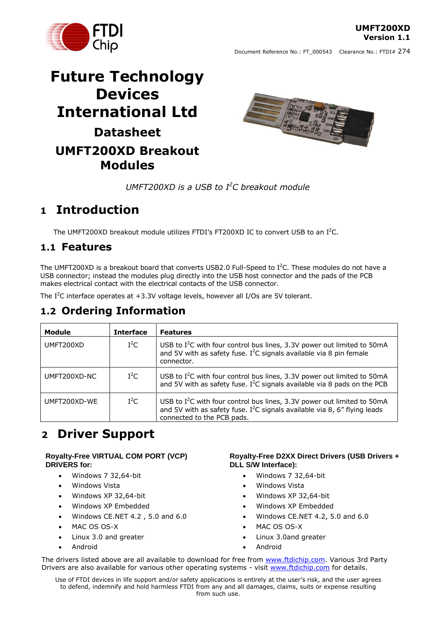**UMFT200XD Version 1.1**

# **Future Technology Devices International Ltd Datasheet UMFT200XD Breakout Modules**



Document Reference No.: FT\_000543 Clearance No.: FTDI# 274

*UMFT200XD is a USB to I <sup>2</sup>C breakout module*

# <span id="page-0-0"></span>**1 Introduction**

The UMFT200XD breakout module utilizes FTDI's FT200XD IC to convert USB to an  $I^2C$ .

### <span id="page-0-1"></span>**1.1 Features**

The UMFT200XD is a breakout board that converts USB2.0 Full-Speed to I<sup>2</sup>C. These modules do not have a USB connector; instead the modules plug directly into the USB host connector and the pads of the PCB makes electrical contact with the electrical contacts of the USB connector.

The I<sup>2</sup>C interface operates at  $+3.3V$  voltage levels, however all I/Os are 5V tolerant.

### <span id="page-0-2"></span>**1.2 Ordering Information**

| Module       | <b>Interface</b> | <b>Features</b>                                                                                                                                                                                  |
|--------------|------------------|--------------------------------------------------------------------------------------------------------------------------------------------------------------------------------------------------|
| UMFT200XD    | $I^2C$           | USB to $I^2C$ with four control bus lines, 3.3V power out limited to 50mA<br>and 5V with as safety fuse. I <sup>2</sup> C signals available via 8 pin female<br>connector.                       |
| UMFT200XD-NC | $I^2C$           | USB to I <sup>2</sup> C with four control bus lines, 3.3V power out limited to 50mA<br>and 5V with as safety fuse. $I^2C$ signals available via 8 pads on the PCB                                |
| UMFT200XD-WE | $I^2C$           | USB to $I^2C$ with four control bus lines, 3.3V power out limited to 50mA<br>and 5V with as safety fuse. I <sup>2</sup> C signals available via 8, 6" flying leads<br>connected to the PCB pads. |

# <span id="page-0-3"></span>**2 Driver Support**

#### **Royalty-Free VIRTUAL COM PORT (VCP) DRIVERS for:**

- Windows 7 32,64-bit
- Windows Vista
- Windows XP 32,64-bit
- Windows XP Embedded
- Windows CE.NET 4.2 , 5.0 and 6.0
- MAC OS OS-X
- Linux 3.0 and greater
- Android

#### **Royalty-Free D2XX Direct Drivers (USB Drivers + DLL S/W Interface):**

- Windows 7 32,64-bit
- Windows Vista
- Windows XP 32,64-bit
- Windows XP Embedded
- Windows CE.NET 4.2, 5.0 and 6.0
- MAC OS OS-X
- Linux 3.0and greater
- Android

The drivers listed above are all available to download for free from [www.ftdichip.com.](http://www.ftdichip.com/) Various 3rd Party Drivers are also available for various other operating systems - visit [www.ftdichip.com](http://www.ftdichip.com/) for details.

Use of FTDI devices in life support and/or safety applications is entirely at the user's risk, and the user agrees to defend, indemnify and hold harmless FTDI from any and all damages, claims, suits or expense resulting from such use.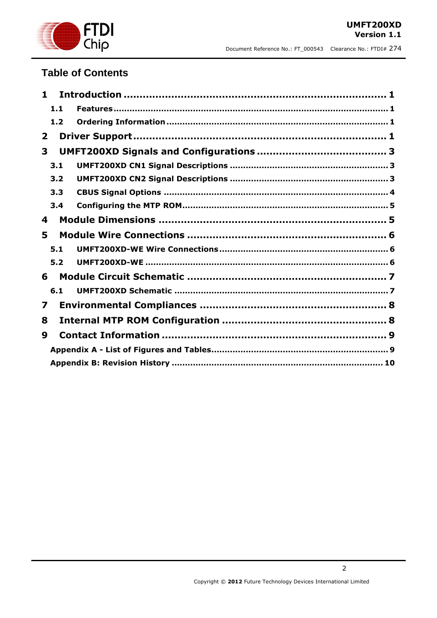

### **Table of Contents**

| 1              |     |  |
|----------------|-----|--|
|                | 1.1 |  |
|                | 1.2 |  |
| $\overline{2}$ |     |  |
| 3              |     |  |
|                | 3.1 |  |
|                | 3.2 |  |
|                | 3.3 |  |
|                | 3.4 |  |
| 4              |     |  |
| 5              |     |  |
|                | 5.1 |  |
|                | 5.2 |  |
| 6              |     |  |
|                | 6.1 |  |
| 7              |     |  |
| 8              |     |  |
| 9              |     |  |
|                |     |  |
|                |     |  |

 $\overline{2}$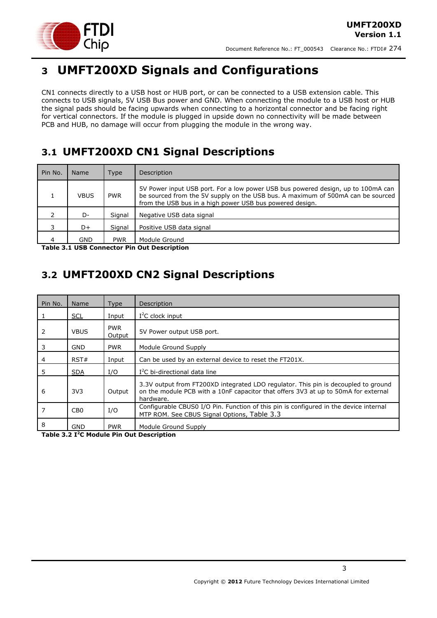

# <span id="page-2-0"></span>**3 UMFT200XD Signals and Configurations**

CN1 connects directly to a USB host or HUB port, or can be connected to a USB extension cable. This connects to USB signals, 5V USB Bus power and GND. When connecting the module to a USB host or HUB the signal pads should be facing upwards when connecting to a horizontal connector and be facing right for vertical connectors. If the module is plugged in upside down no connectivity will be made between PCB and HUB, no damage will occur from plugging the module in the wrong way.

## <span id="page-2-1"></span>**3.1 UMFT200XD CN1 Signal Descriptions**

| Pin No. | Name        | Type       | <b>Description</b>                                                                                                                                                                                                              |  |
|---------|-------------|------------|---------------------------------------------------------------------------------------------------------------------------------------------------------------------------------------------------------------------------------|--|
|         | <b>VBUS</b> | <b>PWR</b> | 5V Power input USB port. For a low power USB bus powered design, up to 100mA can<br>be sourced from the 5V supply on the USB bus. A maximum of 500mA can be sourced<br>from the USB bus in a high power USB bus powered design. |  |
|         | D-          | Sianal     | Negative USB data signal                                                                                                                                                                                                        |  |
| 3       | D+          | Sianal     | Positive USB data signal                                                                                                                                                                                                        |  |
| 4       | GND         | <b>PWR</b> | Module Ground<br>Table 3.4 HCD Cannochau Bin Out Becouration                                                                                                                                                                    |  |

<span id="page-2-3"></span>**Table 3.1 USB Connector Pin Out Description**

## <span id="page-2-2"></span>**3.2 UMFT200XD CN2 Signal Descriptions**

| Pin No. | <b>Name</b>     | <b>Type</b>          | Description                                                                                                                                                                           |
|---------|-----------------|----------------------|---------------------------------------------------------------------------------------------------------------------------------------------------------------------------------------|
|         | <b>SCL</b>      | Input                | $I2C$ clock input                                                                                                                                                                     |
| 2       | <b>VBUS</b>     | <b>PWR</b><br>Output | 5V Power output USB port.                                                                                                                                                             |
| 3       | <b>GND</b>      | <b>PWR</b>           | Module Ground Supply                                                                                                                                                                  |
| 4       | RST#            | Input                | Can be used by an external device to reset the FT201X.                                                                                                                                |
| 5       | <b>SDA</b>      | I/O                  | $I2C$ bi-directional data line                                                                                                                                                        |
| 6       | 3V <sub>3</sub> | Output               | 3.3V output from FT200XD integrated LDO regulator. This pin is decoupled to ground<br>on the module PCB with a 10nF capacitor that offers 3V3 at up to 50mA for external<br>hardware. |
|         | CB <sub>0</sub> | I/O                  | Configurable CBUS0 I/O Pin. Function of this pin is configured in the device internal<br>MTP ROM. See CBUS Signal Options, Table 3.3                                                  |
| 8       | GND             | <b>PWR</b>           | Module Ground Supply                                                                                                                                                                  |

<span id="page-2-4"></span>**Table 3.2 I <sup>2</sup>C Module Pin Out Description**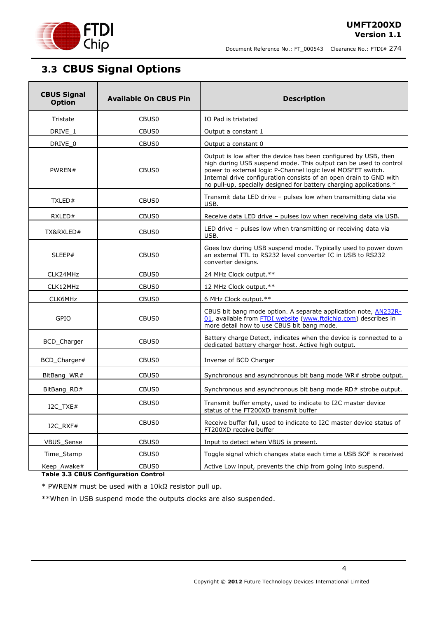

## <span id="page-3-0"></span>**3.3 CBUS Signal Options**

| <b>CBUS Signal</b><br><b>Available On CBUS Pin</b><br><b>Option</b>         |                   | <b>Description</b>                                                                                                                                                                                                                                                                                                                              |  |
|-----------------------------------------------------------------------------|-------------------|-------------------------------------------------------------------------------------------------------------------------------------------------------------------------------------------------------------------------------------------------------------------------------------------------------------------------------------------------|--|
| Tristate                                                                    | CBUS <sub>0</sub> | IO Pad is tristated                                                                                                                                                                                                                                                                                                                             |  |
| DRIVE_1                                                                     | CBUS <sub>0</sub> | Output a constant 1                                                                                                                                                                                                                                                                                                                             |  |
| DRIVE_0                                                                     | CBUS <sub>0</sub> | Output a constant 0                                                                                                                                                                                                                                                                                                                             |  |
| PWREN#<br>CBUS <sub>0</sub>                                                 |                   | Output is low after the device has been configured by USB, then<br>high during USB suspend mode. This output can be used to control<br>power to external logic P-Channel logic level MOSFET switch.<br>Internal drive configuration consists of an open drain to GND with<br>no pull-up, specially designed for battery charging applications.* |  |
| TXLED#                                                                      | CBUS0             | Transmit data LED drive - pulses low when transmitting data via<br>USB.                                                                                                                                                                                                                                                                         |  |
| RXLED#                                                                      | CBUS <sub>0</sub> | Receive data LED drive - pulses low when receiving data via USB.                                                                                                                                                                                                                                                                                |  |
| TX&RXLED#                                                                   | CBUS <sub>0</sub> | LED drive - pulses low when transmitting or receiving data via<br>USB.                                                                                                                                                                                                                                                                          |  |
| SLEEP#<br>CBUS <sub>0</sub>                                                 |                   | Goes low during USB suspend mode. Typically used to power down<br>an external TTL to RS232 level converter IC in USB to RS232<br>converter designs.                                                                                                                                                                                             |  |
| CLK24MHz                                                                    | CBUS <sub>0</sub> | 24 MHz Clock output.**                                                                                                                                                                                                                                                                                                                          |  |
| CLK12MHz                                                                    | CBUS <sub>0</sub> | 12 MHz Clock output.**                                                                                                                                                                                                                                                                                                                          |  |
| CLK6MHz                                                                     | CBUS0             | 6 MHz Clock output.**                                                                                                                                                                                                                                                                                                                           |  |
| GPIO                                                                        | CBUS0             | CBUS bit bang mode option. A separate application note, <b>AN232R-</b><br>01, available from FTDI website (www.ftdichip.com) describes in<br>more detail how to use CBUS bit bang mode.                                                                                                                                                         |  |
| BCD_Charger<br>CBUS0<br>dedicated battery charger host. Active high output. |                   | Battery charge Detect, indicates when the device is connected to a                                                                                                                                                                                                                                                                              |  |
| BCD_Charger#                                                                | CBUS0             | Inverse of BCD Charger                                                                                                                                                                                                                                                                                                                          |  |
| BitBang_WR#                                                                 | CBUS <sub>0</sub> | Synchronous and asynchronous bit bang mode WR# strobe output.                                                                                                                                                                                                                                                                                   |  |
| BitBang_RD#                                                                 | CBUS <sub>0</sub> | Synchronous and asynchronous bit bang mode RD# strobe output.                                                                                                                                                                                                                                                                                   |  |
| CBUS0<br>I2C_TXE#                                                           |                   | Transmit buffer empty, used to indicate to I2C master device<br>status of the FT200XD transmit buffer                                                                                                                                                                                                                                           |  |
| I2C RXF#                                                                    | CBUS0             | Receive buffer full, used to indicate to I2C master device status of<br>FT200XD receive buffer                                                                                                                                                                                                                                                  |  |
| VBUS_Sense                                                                  | CBUS <sub>0</sub> | Input to detect when VBUS is present.                                                                                                                                                                                                                                                                                                           |  |
| Time_Stamp                                                                  | CBUS <sub>0</sub> | Toggle signal which changes state each time a USB SOF is received                                                                                                                                                                                                                                                                               |  |
| Keep_Awake#                                                                 | CBUS0             | Active Low input, prevents the chip from going into suspend.                                                                                                                                                                                                                                                                                    |  |

<span id="page-3-1"></span>**Table 3.3 CBUS Configuration Control**

\* PWREN# must be used with a 10kΩ resistor pull up.

\*\*When in USB suspend mode the outputs clocks are also suspended.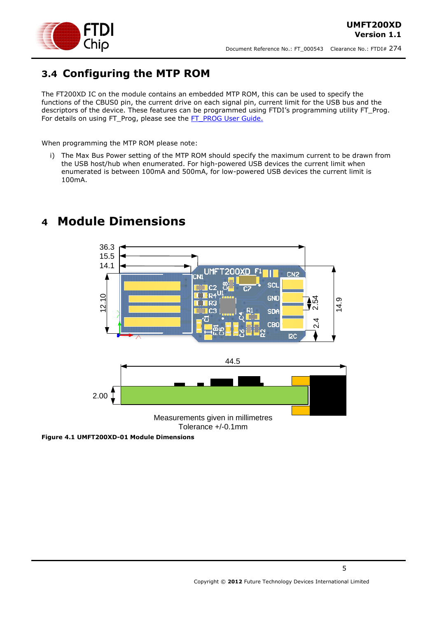

## <span id="page-4-0"></span>**3.4 Configuring the MTP ROM**

The FT200XD IC on the module contains an embedded MTP ROM, this can be used to specify the functions of the CBUS0 pin, the current drive on each signal pin, current limit for the USB bus and the descriptors of the device. These features can be programmed using FTDI's programming utility FT\_Prog. For details on using FT\_Prog, please see the [FT\\_PROG User Guide.](http://www.ftdichip.com/Support/Documents/AppNotes/AN_124_User_Guide_For_FT_PROG.pdf)

When programming the MTP ROM please note:

i) The Max Bus Power setting of the MTP ROM should specify the maximum current to be drawn from the USB host/hub when enumerated. For high-powered USB devices the current limit when enumerated is between 100mA and 500mA, for low-powered USB devices the current limit is 100mA.



## <span id="page-4-1"></span>**4 Module Dimensions**

**Figure 4.1 UMFT200XD-01 Module Dimensions**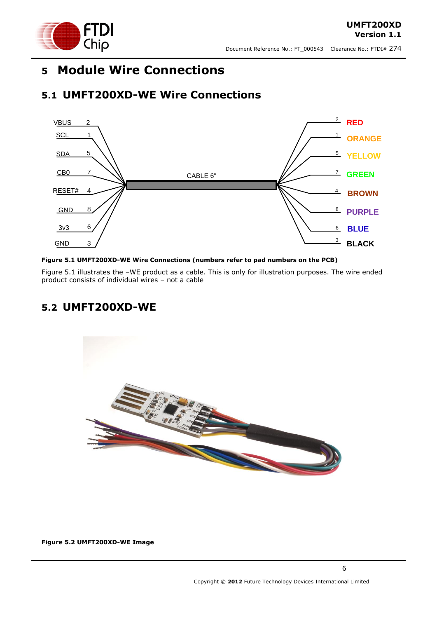

## <span id="page-5-0"></span>**5 Module Wire Connections**

### <span id="page-5-1"></span>**5.1 UMFT200XD-WE Wire Connections**



#### <span id="page-5-3"></span>**Figure 5.1 UMFT200XD-WE Wire Connections (numbers refer to pad numbers on the PCB)**

Figure 5.1 illustrates the –WE product as a cable. This is only for illustration purposes. The wire ended product consists of individual wires – not a cable

### <span id="page-5-2"></span>**5.2 UMFT200XD-WE**



**Figure 5.2 UMFT200XD-WE Image**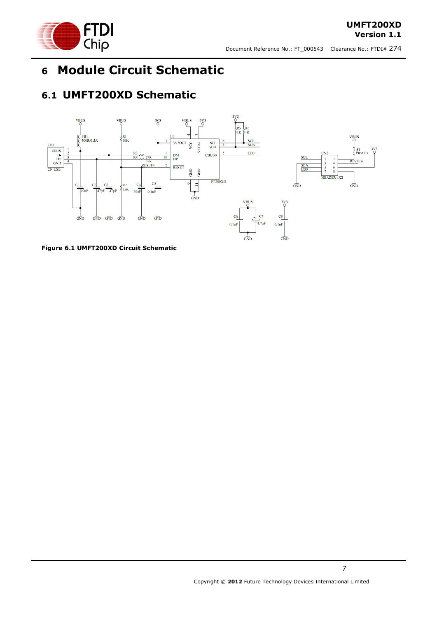

## <span id="page-6-0"></span>**6 Module Circuit Schematic**

## <span id="page-6-1"></span>**6.1 UMFT200XD Schematic**



<span id="page-6-2"></span>**Figure 6.1 UMFT200XD Circuit Schematic**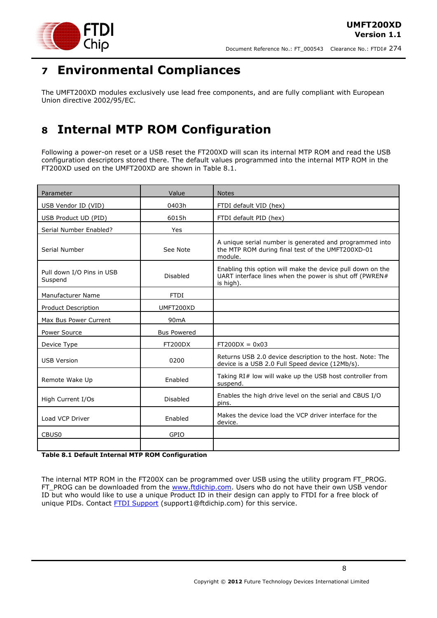

## <span id="page-7-0"></span>**7 Environmental Compliances**

The UMFT200XD modules exclusively use lead free components, and are fully compliant with European Union directive 2002/95/EC.

# <span id="page-7-1"></span>**8 Internal MTP ROM Configuration**

Following a power-on reset or a USB reset the FT200XD will scan its internal MTP ROM and read the USB configuration descriptors stored there. The default values programmed into the internal MTP ROM in the FT200XD used on the UMFT200XD are shown in [Table 8.1.](#page-7-2)

| Parameter                            | Value              | <b>Notes</b>                                                                                                                       |  |
|--------------------------------------|--------------------|------------------------------------------------------------------------------------------------------------------------------------|--|
| USB Vendor ID (VID)                  | 0403h              | FTDI default VID (hex)                                                                                                             |  |
| USB Product UD (PID)                 | 6015h              | FTDI default PID (hex)                                                                                                             |  |
| Serial Number Enabled?               | Yes                |                                                                                                                                    |  |
| Serial Number                        | See Note           | A unique serial number is generated and programmed into<br>the MTP ROM during final test of the UMFT200XD-01<br>module.            |  |
| Pull down I/O Pins in USB<br>Suspend | Disabled           | Enabling this option will make the device pull down on the<br>UART interface lines when the power is shut off (PWREN#<br>is high). |  |
| Manufacturer Name                    | <b>FTDI</b>        |                                                                                                                                    |  |
| Product Description                  | UMFT200XD          |                                                                                                                                    |  |
| Max Bus Power Current                | 90 <sub>m</sub> A  |                                                                                                                                    |  |
| Power Source                         | <b>Bus Powered</b> |                                                                                                                                    |  |
| Device Type                          | FT200DX            | $FT200DX = 0x03$                                                                                                                   |  |
| <b>USB Version</b>                   | 0200               | Returns USB 2.0 device description to the host. Note: The<br>device is a USB 2.0 Full Speed device (12Mb/s).                       |  |
| Remote Wake Up                       | Enabled            | Taking RI# low will wake up the USB host controller from<br>suspend.                                                               |  |
| High Current I/Os                    | <b>Disabled</b>    | Enables the high drive level on the serial and CBUS I/O<br>pins.                                                                   |  |
| Load VCP Driver                      | Enabled            | Makes the device load the VCP driver interface for the<br>device.                                                                  |  |
| CBUS <sub>0</sub>                    | GPIO               |                                                                                                                                    |  |
|                                      |                    |                                                                                                                                    |  |

<span id="page-7-2"></span>**Table 8.1 Default Internal MTP ROM Configuration**

The internal MTP ROM in the FT200X can be programmed over USB using the utility program FT\_PROG. FT\_PROG can be downloaded from the [www.ftdichip.com.](http://www.ftdichip.com/) Users who do not have their own USB vendor ID but who would like to use a unique Product ID in their design can apply to FTDI for a free block of unique PIDs. Contact **FTDI Support** (support1@ftdichip.com) for this service.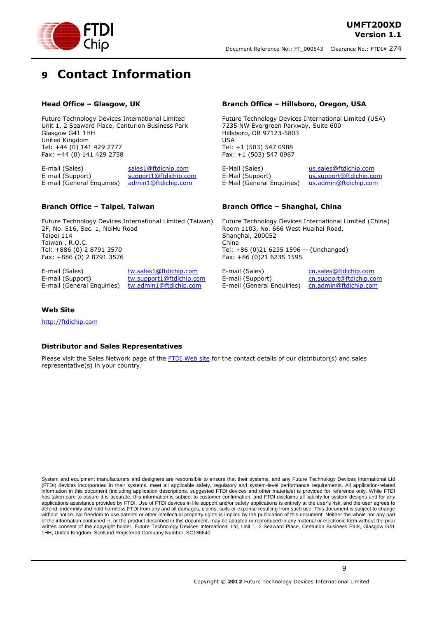

# <span id="page-8-0"></span>**9 Contact Information**

#### **Head Office – Glasgow, UK**

Future Technology Devices International Limited Unit 1, 2 Seaward Place, Centurion Business Park Glasgow G41 1HH United Kingdom Tel: +44 (0) 141 429 2777 Fax: +44 (0) 141 429 2758

E-mail (Sales) [sales1@ftdichip.com](mailto:sales1@ftdichip.com) E-mail (Support) [support1@ftdichip.com](mailto:support1@ftdichip.com) E-mail (General Enquiries) [admin1@ftdichip.com](mailto:admin1@ftdichip.com)

#### **Branch Office – Taipei, Taiwan**

Future Technology Devices International Limited (Taiwan) 2F, No. 516, Sec. 1, NeiHu Road Taipei 114 Taiwan , R.O.C. Tel: +886 (0) 2 8791 3570 Fax: +886 (0) 2 8791 3576

E-mail (Sales) [tw.sales1@ftdichip.com](mailto:tw.sales1@ftdichip.com) E-mail (Support) [tw.support1@ftdichip.com](mailto:tw.support1@ftdichip.com) E-mail (General Enquiries) [tw.admin1@ftdichip.com](mailto:tw.admin1@ftdichip.com)

#### **Branch Office – Hillsboro, Oregon, USA**

Future Technology Devices International Limited (USA) 7235 NW Evergreen Parkway, Suite 600 Hillsboro, OR 97123-5803 USA Tel: +1 (503) 547 0988 Fax: +1 (503) 547 0987

E-Mail (Sales) [us.sales@ftdichip.com](mailto:us.sales@ftdichip.com) E-Mail (Support) [us.support@ftdichip.com](mailto:us.support@ftdichip.com) E-Mail (General Enquiries) [us.admin@ftdichip.com](mailto:us.admin@ftdichip.com)

#### **Branch Office – Shanghai, China**

Future Technology Devices International Limited (China) Room 1103, No. 666 West Huaihai Road, Shanghai, 200052 China Tel: +86 (0)21 6235 1596 -- (Unchanged) Fax: +86 (0)21 6235 1595

E-mail (Support) [cn.support@ftdichip.com](mailto:cn.support@ftdichip.com) E-mail (General Enquiries) [cn.admin@ftdichip.com](mailto:cn.admin@ftdichip.com)

E-mail (Sales) [cn.sales@ftdichip.com](mailto:cn.sales@ftdichip.com)

#### **Web Site**

[http://ftdichip.com](http://ftdichip.com/)

#### **Distributor and Sales Representatives**

Please visit the Sales Network page of the [FTDI Web site](http://ftdichip.com/FTSalesNetwork.htm) for the contact details of our distributor(s) and sales representative(s) in your country.

System and equipment manufacturers and designers are responsible to ensure that their systems, and any Future Technology Devices International Ltd (FTDI) devices incorporated in their systems, meet all applicable safety, regulatory and system-level performance requirements. All application-related information in this document (including application descriptions, suggested FTDI devices and other materials) is provided for reference only. While FTDI has taken care to assure it is accurate, this information is subject to customer confirmation, and FTDI disclaims all liability for system designs and for any applications assistance provided by FTDI. Use of FTDI devices in life support and/or safety applications is entirely at the user's risk, and the user agrees to applications assistance provided by FTDI. Use of FTDI devices defend, indemnify and hold harmless FTDI from any and all damages, claims, suits or expense resulting from such use. This document is subject to change without notice. No freedom to use patents or other intellectual property rights is implied by the publication of this document. Neither the whole nor any part of the information contained in, or the product described in this document, may be adapted or reproduced in any material or electronic form without the prior written consent of the copyright holder. Future Technology Devices International Ltd, Unit 1, 2 Seaward Place, Centurion Business Park, Glasgow G41 1HH, United Kingdom. Scotland Registered Company Number: SC136640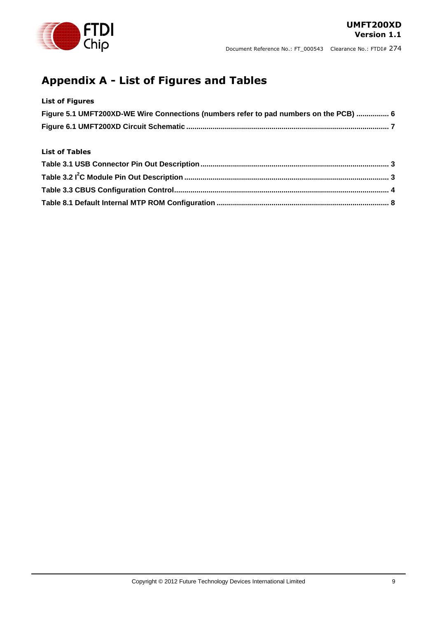

## <span id="page-9-0"></span>**Appendix A - List of Figures and Tables**

### **List of Figures**

| Figure 5.1 UMFT200XD-WE Wire Connections (numbers refer to pad numbers on the PCB)  6 |  |
|---------------------------------------------------------------------------------------|--|
|                                                                                       |  |

#### **List of Tables**